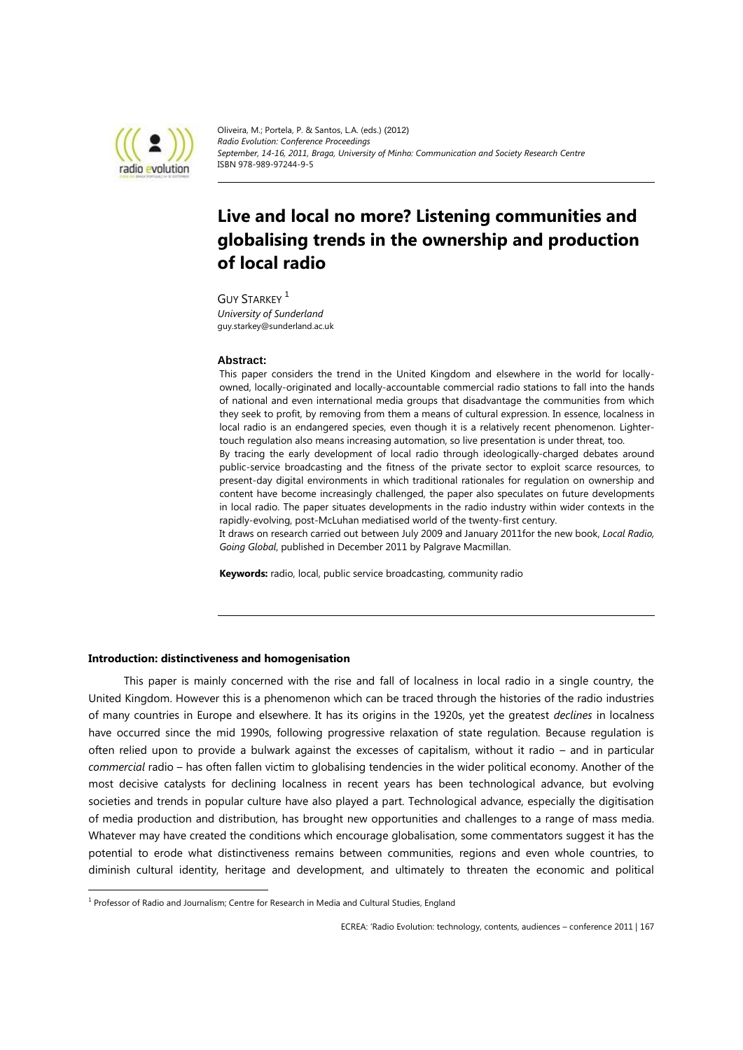

Oliveira, M.; Portela, P. & Santos, L.A. (eds.) (2012) *Radio Evolution: Conference Proceedings September, 14-16, 2011, Braga, University of Minho: Communication and Society Research Centre* ISBN 978-989-97244-9-5

# **Live and local no more? Listening communities and globalising trends in the ownership and production of local radio**

**GUY STARKEY** <sup>1</sup> *University of Sunderland* guy.starkey@sunderland.ac.uk

### **Abstract:**

This paper considers the trend in the United Kingdom and elsewhere in the world for locallyowned, locally-originated and locally-accountable commercial radio stations to fall into the hands of national and even international media groups that disadvantage the communities from which they seek to profit, by removing from them a means of cultural expression. In essence, localness in local radio is an endangered species, even though it is a relatively recent phenomenon. Lightertouch regulation also means increasing automation, so live presentation is under threat, too. By tracing the early development of local radio through ideologically-charged debates around public-service broadcasting and the fitness of the private sector to exploit scarce resources, to present-day digital environments in which traditional rationales for regulation on ownership and content have become increasingly challenged, the paper also speculates on future developments in local radio. The paper situates developments in the radio industry within wider contexts in the rapidly-evolving, post-McLuhan mediatised world of the twenty-first century.

It draws on research carried out between July 2009 and January 2011for the new book, *Local Radio, Going Global*, published in December 2011 by Palgrave Macmillan.

**Keywords:** radio, local, public service broadcasting, community radio

# **Introduction: distinctiveness and homogenisation**

 $\overline{a}$ 

This paper is mainly concerned with the rise and fall of localness in local radio in a single country, the United Kingdom. However this is a phenomenon which can be traced through the histories of the radio industries of many countries in Europe and elsewhere. It has its origins in the 1920s, yet the greatest *declines* in localness have occurred since the mid 1990s, following progressive relaxation of state regulation. Because regulation is often relied upon to provide a bulwark against the excesses of capitalism, without it radio – and in particular *commercial* radio – has often fallen victim to globalising tendencies in the wider political economy. Another of the most decisive catalysts for declining localness in recent years has been technological advance, but evolving societies and trends in popular culture have also played a part. Technological advance, especially the digitisation of media production and distribution, has brought new opportunities and challenges to a range of mass media. Whatever may have created the conditions which encourage globalisation, some commentators suggest it has the potential to erode what distinctiveness remains between communities, regions and even whole countries, to diminish cultural identity, heritage and development, and ultimately to threaten the economic and political

 $<sup>1</sup>$  Professor of Radio and Journalism; Centre for Research in Media and Cultural Studies, England</sup>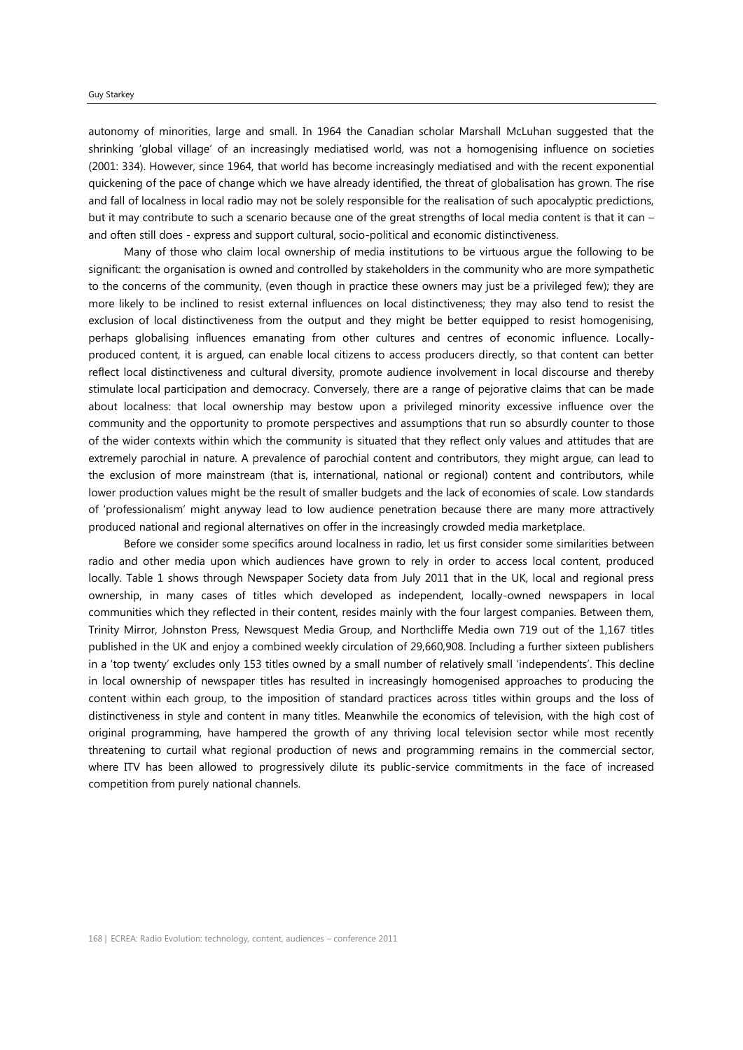#### Guy Starkey

autonomy of minorities, large and small. In 1964 the Canadian scholar Marshall McLuhan suggested that the shrinking 'global village' of an increasingly mediatised world, was not a homogenising influence on societies (2001: 334). However, since 1964, that world has become increasingly mediatised and with the recent exponential quickening of the pace of change which we have already identified, the threat of globalisation has grown. The rise and fall of localness in local radio may not be solely responsible for the realisation of such apocalyptic predictions, but it may contribute to such a scenario because one of the great strengths of local media content is that it can – and often still does - express and support cultural, socio-political and economic distinctiveness.

Many of those who claim local ownership of media institutions to be virtuous argue the following to be significant: the organisation is owned and controlled by stakeholders in the community who are more sympathetic to the concerns of the community, (even though in practice these owners may just be a privileged few); they are more likely to be inclined to resist external influences on local distinctiveness; they may also tend to resist the exclusion of local distinctiveness from the output and they might be better equipped to resist homogenising, perhaps globalising influences emanating from other cultures and centres of economic influence. Locallyproduced content, it is argued, can enable local citizens to access producers directly, so that content can better reflect local distinctiveness and cultural diversity, promote audience involvement in local discourse and thereby stimulate local participation and democracy. Conversely, there are a range of pejorative claims that can be made about localness: that local ownership may bestow upon a privileged minority excessive influence over the community and the opportunity to promote perspectives and assumptions that run so absurdly counter to those of the wider contexts within which the community is situated that they reflect only values and attitudes that are extremely parochial in nature. A prevalence of parochial content and contributors, they might argue, can lead to the exclusion of more mainstream (that is, international, national or regional) content and contributors, while lower production values might be the result of smaller budgets and the lack of economies of scale. Low standards of 'professionalism' might anyway lead to low audience penetration because there are many more attractively produced national and regional alternatives on offer in the increasingly crowded media marketplace.

Before we consider some specifics around localness in radio, let us first consider some similarities between radio and other media upon which audiences have grown to rely in order to access local content, produced locally. Table 1 shows through Newspaper Society data from July 2011 that in the UK, local and regional press ownership, in many cases of titles which developed as independent, locally-owned newspapers in local communities which they reflected in their content, resides mainly with the four largest companies. Between them, Trinity Mirror, Johnston Press, Newsquest Media Group, and Northcliffe Media own 719 out of the 1,167 titles published in the UK and enjoy a combined weekly circulation of 29,660,908. Including a further sixteen publishers in a 'top twenty' excludes only 153 titles owned by a small number of relatively small 'independents'. This decline in local ownership of newspaper titles has resulted in increasingly homogenised approaches to producing the content within each group, to the imposition of standard practices across titles within groups and the loss of distinctiveness in style and content in many titles. Meanwhile the economics of television, with the high cost of original programming, have hampered the growth of any thriving local television sector while most recently threatening to curtail what regional production of news and programming remains in the commercial sector, where ITV has been allowed to progressively dilute its public-service commitments in the face of increased competition from purely national channels.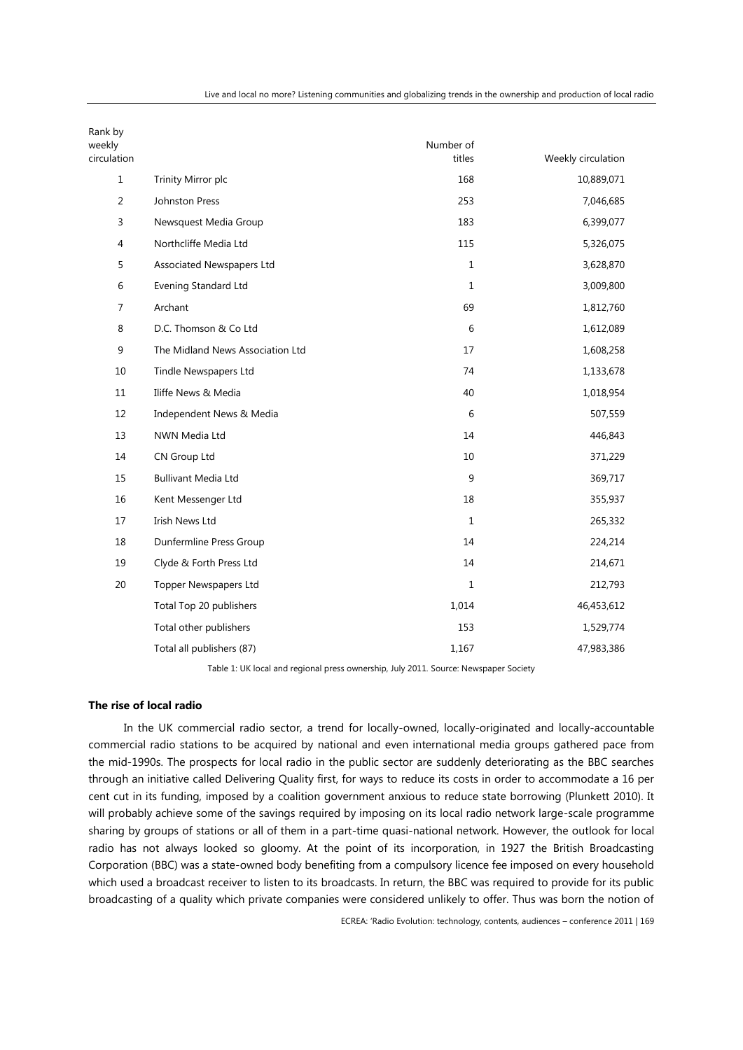| Rank by<br>weekly |                                  | Number of        |                    |
|-------------------|----------------------------------|------------------|--------------------|
| circulation       |                                  | titles           | Weekly circulation |
| $\mathbf{1}$      | Trinity Mirror plc               | 168              | 10,889,071         |
| $\overline{2}$    | Johnston Press                   | 253              | 7,046,685          |
| 3                 | Newsquest Media Group            | 183              | 6,399,077          |
| 4                 | Northcliffe Media Ltd            | 115              | 5,326,075          |
| 5                 | Associated Newspapers Ltd        | $\mathbf{1}$     | 3,628,870          |
| $\,6$             | Evening Standard Ltd             | $\mathbf{1}$     | 3,009,800          |
| 7                 | Archant                          | 69               | 1,812,760          |
| 8                 | D.C. Thomson & Co Ltd            | 6                | 1,612,089          |
| 9                 | The Midland News Association Ltd | 17               | 1,608,258          |
| 10                | Tindle Newspapers Ltd            | 74               | 1,133,678          |
| 11                | Iliffe News & Media              | 40               | 1,018,954          |
| 12                | Independent News & Media         | 6                | 507,559            |
| 13                | NWN Media Ltd                    | 14               | 446,843            |
| 14                | CN Group Ltd                     | 10               | 371,229            |
| 15                | <b>Bullivant Media Ltd</b>       | $\boldsymbol{9}$ | 369,717            |
| 16                | Kent Messenger Ltd               | 18               | 355,937            |
| 17                | <b>Irish News Ltd</b>            | $\mathbf{1}$     | 265,332            |
| 18                | Dunfermline Press Group          | 14               | 224,214            |
| 19                | Clyde & Forth Press Ltd          | 14               | 214,671            |
| 20                | <b>Topper Newspapers Ltd</b>     | $\mathbf{1}$     | 212,793            |
|                   | Total Top 20 publishers          | 1,014            | 46,453,612         |
|                   | Total other publishers           | 153              | 1,529,774          |
|                   | Total all publishers (87)        | 1,167            | 47,983,386         |

Table 1: UK local and regional press ownership, July 2011. Source: Newspaper Society

# **The rise of local radio**

In the UK commercial radio sector, a trend for locally-owned, locally-originated and locally-accountable commercial radio stations to be acquired by national and even international media groups gathered pace from the mid-1990s. The prospects for local radio in the public sector are suddenly deteriorating as the BBC searches through an initiative called Delivering Quality first, for ways to reduce its costs in order to accommodate a 16 per cent cut in its funding, imposed by a coalition government anxious to reduce state borrowing (Plunkett 2010). It will probably achieve some of the savings required by imposing on its local radio network large-scale programme sharing by groups of stations or all of them in a part-time quasi-national network. However, the outlook for local radio has not always looked so gloomy. At the point of its incorporation, in 1927 the British Broadcasting Corporation (BBC) was a state-owned body benefiting from a compulsory licence fee imposed on every household which used a broadcast receiver to listen to its broadcasts. In return, the BBC was required to provide for its public broadcasting of a quality which private companies were considered unlikely to offer. Thus was born the notion of

ECREA: 'Radio Evolution: technology, contents, audiences – conference 2011 | 169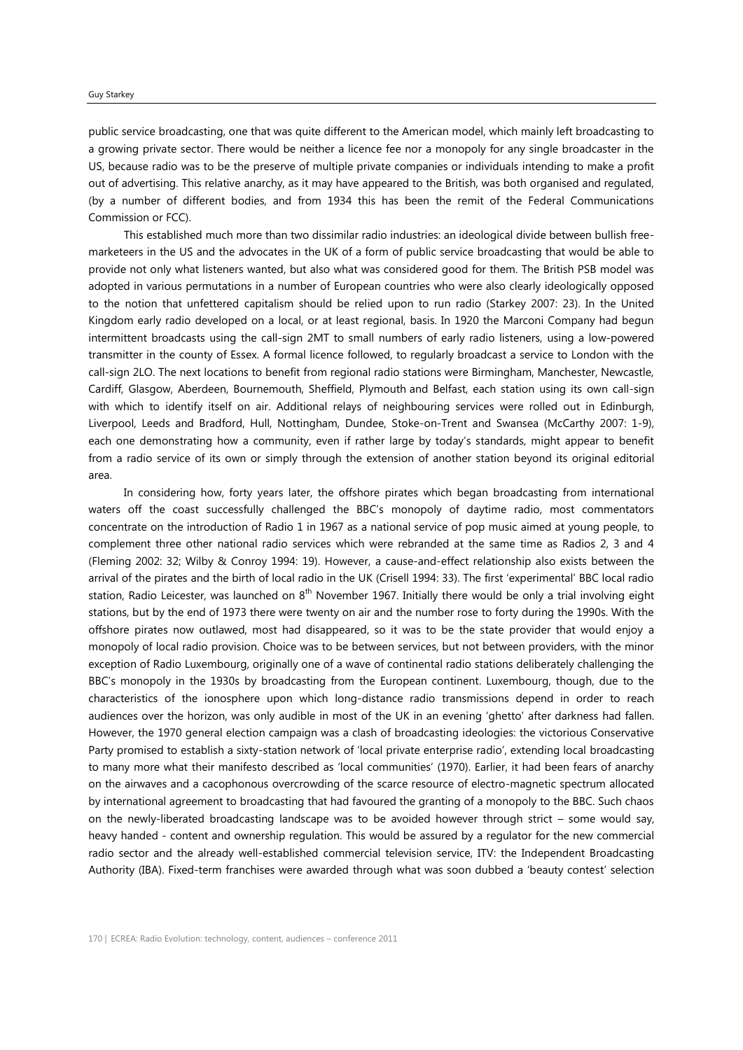#### Guy Starkey

public service broadcasting, one that was quite different to the American model, which mainly left broadcasting to a growing private sector. There would be neither a licence fee nor a monopoly for any single broadcaster in the US, because radio was to be the preserve of multiple private companies or individuals intending to make a profit out of advertising. This relative anarchy, as it may have appeared to the British, was both organised and regulated, (by a number of different bodies, and from 1934 this has been the remit of the Federal Communications Commission or FCC).

This established much more than two dissimilar radio industries: an ideological divide between bullish freemarketeers in the US and the advocates in the UK of a form of public service broadcasting that would be able to provide not only what listeners wanted, but also what was considered good for them. The British PSB model was adopted in various permutations in a number of European countries who were also clearly ideologically opposed to the notion that unfettered capitalism should be relied upon to run radio (Starkey 2007: 23). In the United Kingdom early radio developed on a local, or at least regional, basis. In 1920 the Marconi Company had begun intermittent broadcasts using the call-sign 2MT to small numbers of early radio listeners, using a low-powered transmitter in the county of Essex. A formal licence followed, to regularly broadcast a service to London with the call-sign 2LO. The next locations to benefit from regional radio stations were Birmingham, Manchester, Newcastle, Cardiff, Glasgow, Aberdeen, Bournemouth, Sheffield, Plymouth and Belfast, each station using its own call-sign with which to identify itself on air. Additional relays of neighbouring services were rolled out in Edinburgh, Liverpool, Leeds and Bradford, Hull, Nottingham, Dundee, Stoke-on-Trent and Swansea (McCarthy 2007: 1-9), each one demonstrating how a community, even if rather large by today's standards, might appear to benefit from a radio service of its own or simply through the extension of another station beyond its original editorial area.

In considering how, forty years later, the offshore pirates which began broadcasting from international waters off the coast successfully challenged the BBC's monopoly of daytime radio, most commentators concentrate on the introduction of Radio 1 in 1967 as a national service of pop music aimed at young people, to complement three other national radio services which were rebranded at the same time as Radios 2, 3 and 4 (Fleming 2002: 32; Wilby & Conroy 1994: 19). However, a cause-and-effect relationship also exists between the arrival of the pirates and the birth of local radio in the UK (Crisell 1994: 33). The first 'experimental' BBC local radio station, Radio Leicester, was launched on  $8<sup>th</sup>$  November 1967. Initially there would be only a trial involving eight stations, but by the end of 1973 there were twenty on air and the number rose to forty during the 1990s. With the offshore pirates now outlawed, most had disappeared, so it was to be the state provider that would enjoy a monopoly of local radio provision. Choice was to be between services, but not between providers, with the minor exception of Radio Luxembourg, originally one of a wave of continental radio stations deliberately challenging the BBC's monopoly in the 1930s by broadcasting from the European continent. Luxembourg, though, due to the characteristics of the ionosphere upon which long-distance radio transmissions depend in order to reach audiences over the horizon, was only audible in most of the UK in an evening 'ghetto' after darkness had fallen. However, the 1970 general election campaign was a clash of broadcasting ideologies: the victorious Conservative Party promised to establish a sixty-station network of 'local private enterprise radio', extending local broadcasting to many more what their manifesto described as 'local communities' (1970). Earlier, it had been fears of anarchy on the airwaves and a cacophonous overcrowding of the scarce resource of electro-magnetic spectrum allocated by international agreement to broadcasting that had favoured the granting of a monopoly to the BBC. Such chaos on the newly-liberated broadcasting landscape was to be avoided however through strict – some would say, heavy handed - content and ownership regulation. This would be assured by a regulator for the new commercial radio sector and the already well-established commercial television service, ITV: the Independent Broadcasting Authority (IBA). Fixed-term franchises were awarded through what was soon dubbed a 'beauty contest' selection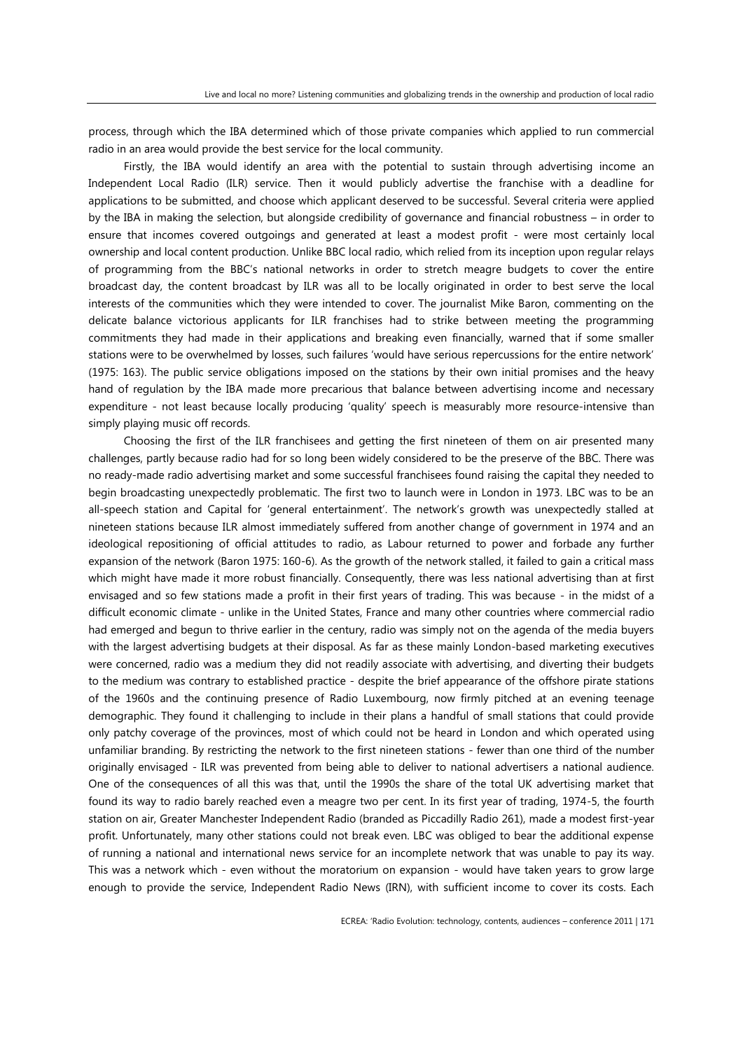process, through which the IBA determined which of those private companies which applied to run commercial radio in an area would provide the best service for the local community.

Firstly, the IBA would identify an area with the potential to sustain through advertising income an Independent Local Radio (ILR) service. Then it would publicly advertise the franchise with a deadline for applications to be submitted, and choose which applicant deserved to be successful. Several criteria were applied by the IBA in making the selection, but alongside credibility of governance and financial robustness – in order to ensure that incomes covered outgoings and generated at least a modest profit - were most certainly local ownership and local content production. Unlike BBC local radio, which relied from its inception upon regular relays of programming from the BBC's national networks in order to stretch meagre budgets to cover the entire broadcast day, the content broadcast by ILR was all to be locally originated in order to best serve the local interests of the communities which they were intended to cover. The journalist Mike Baron, commenting on the delicate balance victorious applicants for ILR franchises had to strike between meeting the programming commitments they had made in their applications and breaking even financially, warned that if some smaller stations were to be overwhelmed by losses, such failures 'would have serious repercussions for the entire network' (1975: 163). The public service obligations imposed on the stations by their own initial promises and the heavy hand of regulation by the IBA made more precarious that balance between advertising income and necessary expenditure - not least because locally producing 'quality' speech is measurably more resource-intensive than simply playing music off records.

Choosing the first of the ILR franchisees and getting the first nineteen of them on air presented many challenges, partly because radio had for so long been widely considered to be the preserve of the BBC. There was no ready-made radio advertising market and some successful franchisees found raising the capital they needed to begin broadcasting unexpectedly problematic. The first two to launch were in London in 1973. LBC was to be an all-speech station and Capital for 'general entertainment'. The network's growth was unexpectedly stalled at nineteen stations because ILR almost immediately suffered from another change of government in 1974 and an ideological repositioning of official attitudes to radio, as Labour returned to power and forbade any further expansion of the network (Baron 1975: 160-6). As the growth of the network stalled, it failed to gain a critical mass which might have made it more robust financially. Consequently, there was less national advertising than at first envisaged and so few stations made a profit in their first years of trading. This was because - in the midst of a difficult economic climate - unlike in the United States, France and many other countries where commercial radio had emerged and begun to thrive earlier in the century, radio was simply not on the agenda of the media buyers with the largest advertising budgets at their disposal. As far as these mainly London-based marketing executives were concerned, radio was a medium they did not readily associate with advertising, and diverting their budgets to the medium was contrary to established practice - despite the brief appearance of the offshore pirate stations of the 1960s and the continuing presence of Radio Luxembourg, now firmly pitched at an evening teenage demographic. They found it challenging to include in their plans a handful of small stations that could provide only patchy coverage of the provinces, most of which could not be heard in London and which operated using unfamiliar branding. By restricting the network to the first nineteen stations - fewer than one third of the number originally envisaged - ILR was prevented from being able to deliver to national advertisers a national audience. One of the consequences of all this was that, until the 1990s the share of the total UK advertising market that found its way to radio barely reached even a meagre two per cent. In its first year of trading, 1974-5, the fourth station on air, Greater Manchester Independent Radio (branded as Piccadilly Radio 261), made a modest first-year profit. Unfortunately, many other stations could not break even. LBC was obliged to bear the additional expense of running a national and international news service for an incomplete network that was unable to pay its way. This was a network which - even without the moratorium on expansion - would have taken years to grow large enough to provide the service, Independent Radio News (IRN), with sufficient income to cover its costs. Each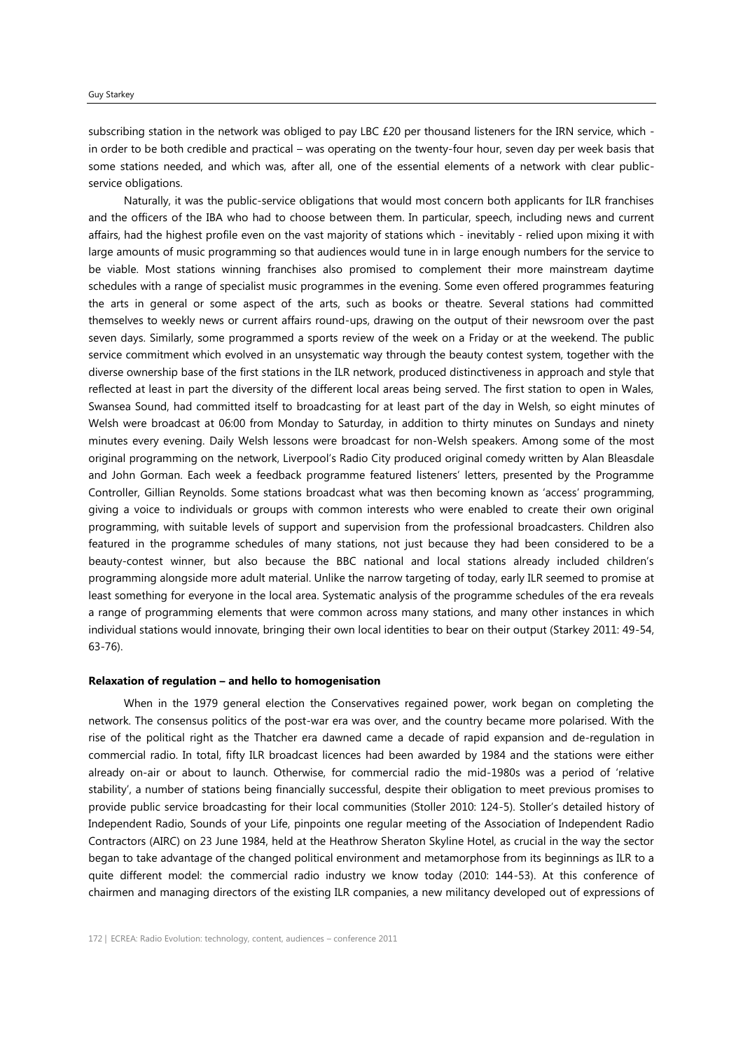subscribing station in the network was obliged to pay LBC £20 per thousand listeners for the IRN service, which in order to be both credible and practical – was operating on the twenty-four hour, seven day per week basis that some stations needed, and which was, after all, one of the essential elements of a network with clear publicservice obligations.

Naturally, it was the public-service obligations that would most concern both applicants for ILR franchises and the officers of the IBA who had to choose between them. In particular, speech, including news and current affairs, had the highest profile even on the vast majority of stations which - inevitably - relied upon mixing it with large amounts of music programming so that audiences would tune in in large enough numbers for the service to be viable. Most stations winning franchises also promised to complement their more mainstream daytime schedules with a range of specialist music programmes in the evening. Some even offered programmes featuring the arts in general or some aspect of the arts, such as books or theatre. Several stations had committed themselves to weekly news or current affairs round-ups, drawing on the output of their newsroom over the past seven days. Similarly, some programmed a sports review of the week on a Friday or at the weekend. The public service commitment which evolved in an unsystematic way through the beauty contest system, together with the diverse ownership base of the first stations in the ILR network, produced distinctiveness in approach and style that reflected at least in part the diversity of the different local areas being served. The first station to open in Wales, Swansea Sound, had committed itself to broadcasting for at least part of the day in Welsh, so eight minutes of Welsh were broadcast at 06:00 from Monday to Saturday, in addition to thirty minutes on Sundays and ninety minutes every evening. Daily Welsh lessons were broadcast for non-Welsh speakers. Among some of the most original programming on the network, Liverpool's Radio City produced original comedy written by Alan Bleasdale and John Gorman. Each week a feedback programme featured listeners' letters, presented by the Programme Controller, Gillian Reynolds. Some stations broadcast what was then becoming known as 'access' programming, giving a voice to individuals or groups with common interests who were enabled to create their own original programming, with suitable levels of support and supervision from the professional broadcasters. Children also featured in the programme schedules of many stations, not just because they had been considered to be a beauty-contest winner, but also because the BBC national and local stations already included children's programming alongside more adult material. Unlike the narrow targeting of today, early ILR seemed to promise at least something for everyone in the local area. Systematic analysis of the programme schedules of the era reveals a range of programming elements that were common across many stations, and many other instances in which individual stations would innovate, bringing their own local identities to bear on their output (Starkey 2011: 49-54, 63-76).

# **Relaxation of regulation – and hello to homogenisation**

When in the 1979 general election the Conservatives regained power, work began on completing the network. The consensus politics of the post-war era was over, and the country became more polarised. With the rise of the political right as the Thatcher era dawned came a decade of rapid expansion and de-regulation in commercial radio. In total, fifty ILR broadcast licences had been awarded by 1984 and the stations were either already on-air or about to launch. Otherwise, for commercial radio the mid-1980s was a period of 'relative stability', a number of stations being financially successful, despite their obligation to meet previous promises to provide public service broadcasting for their local communities (Stoller 2010: 124-5). Stoller's detailed history of Independent Radio, Sounds of your Life, pinpoints one regular meeting of the Association of Independent Radio Contractors (AIRC) on 23 June 1984, held at the Heathrow Sheraton Skyline Hotel, as crucial in the way the sector began to take advantage of the changed political environment and metamorphose from its beginnings as ILR to a quite different model: the commercial radio industry we know today (2010: 144-53). At this conference of chairmen and managing directors of the existing ILR companies, a new militancy developed out of expressions of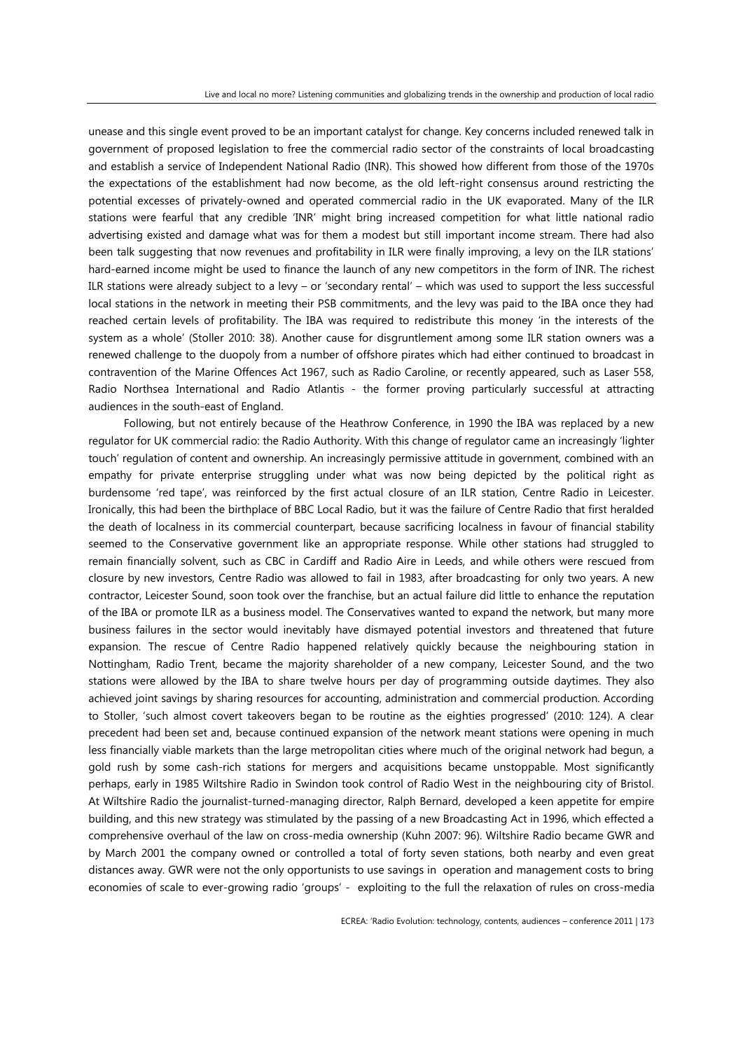unease and this single event proved to be an important catalyst for change. Key concerns included renewed talk in government of proposed legislation to free the commercial radio sector of the constraints of local broadcasting and establish a service of Independent National Radio (INR). This showed how different from those of the 1970s the expectations of the establishment had now become, as the old left-right consensus around restricting the potential excesses of privately-owned and operated commercial radio in the UK evaporated. Many of the ILR stations were fearful that any credible 'INR' might bring increased competition for what little national radio advertising existed and damage what was for them a modest but still important income stream. There had also been talk suggesting that now revenues and profitability in ILR were finally improving, a levy on the ILR stations' hard-earned income might be used to finance the launch of any new competitors in the form of INR. The richest ILR stations were already subject to a levy – or 'secondary rental' – which was used to support the less successful local stations in the network in meeting their PSB commitments, and the levy was paid to the IBA once they had reached certain levels of profitability. The IBA was required to redistribute this money 'in the interests of the system as a whole' (Stoller 2010: 38). Another cause for disgruntlement among some ILR station owners was a renewed challenge to the duopoly from a number of offshore pirates which had either continued to broadcast in contravention of the Marine Offences Act 1967, such as Radio Caroline, or recently appeared, such as Laser 558, Radio Northsea International and Radio Atlantis - the former proving particularly successful at attracting audiences in the south-east of England.

Following, but not entirely because of the Heathrow Conference, in 1990 the IBA was replaced by a new regulator for UK commercial radio: the Radio Authority. With this change of regulator came an increasingly 'lighter touch' regulation of content and ownership. An increasingly permissive attitude in government, combined with an empathy for private enterprise struggling under what was now being depicted by the political right as burdensome 'red tape', was reinforced by the first actual closure of an ILR station, Centre Radio in Leicester. Ironically, this had been the birthplace of BBC Local Radio, but it was the failure of Centre Radio that first heralded the death of localness in its commercial counterpart, because sacrificing localness in favour of financial stability seemed to the Conservative government like an appropriate response. While other stations had struggled to remain financially solvent, such as CBC in Cardiff and Radio Aire in Leeds, and while others were rescued from closure by new investors, Centre Radio was allowed to fail in 1983, after broadcasting for only two years. A new contractor, Leicester Sound, soon took over the franchise, but an actual failure did little to enhance the reputation of the IBA or promote ILR as a business model. The Conservatives wanted to expand the network, but many more business failures in the sector would inevitably have dismayed potential investors and threatened that future expansion. The rescue of Centre Radio happened relatively quickly because the neighbouring station in Nottingham, Radio Trent, became the majority shareholder of a new company, Leicester Sound, and the two stations were allowed by the IBA to share twelve hours per day of programming outside daytimes. They also achieved joint savings by sharing resources for accounting, administration and commercial production. According to Stoller, 'such almost covert takeovers began to be routine as the eighties progressed' (2010: 124). A clear precedent had been set and, because continued expansion of the network meant stations were opening in much less financially viable markets than the large metropolitan cities where much of the original network had begun, a gold rush by some cash-rich stations for mergers and acquisitions became unstoppable. Most significantly perhaps, early in 1985 Wiltshire Radio in Swindon took control of Radio West in the neighbouring city of Bristol. At Wiltshire Radio the journalist-turned-managing director, Ralph Bernard, developed a keen appetite for empire building, and this new strategy was stimulated by the passing of a new Broadcasting Act in 1996, which effected a comprehensive overhaul of the law on cross-media ownership (Kuhn 2007: 96). Wiltshire Radio became GWR and by March 2001 the company owned or controlled a total of forty seven stations, both nearby and even great distances away. GWR were not the only opportunists to use savings in operation and management costs to bring economies of scale to ever-growing radio 'groups' - exploiting to the full the relaxation of rules on cross-media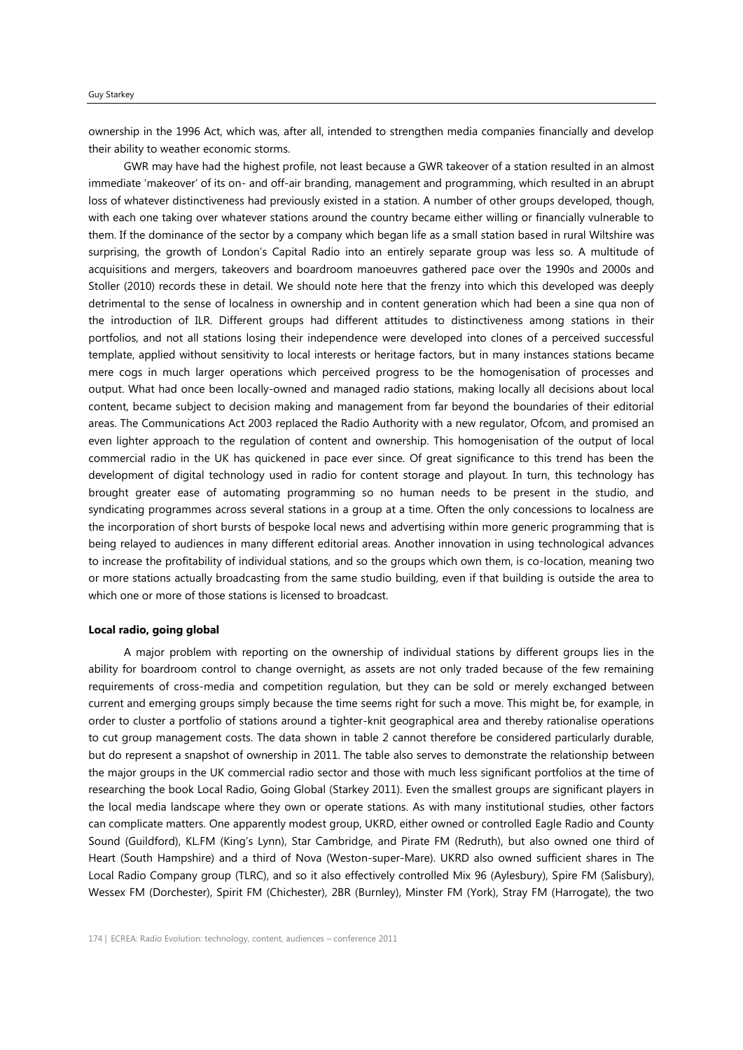ownership in the 1996 Act, which was, after all, intended to strengthen media companies financially and develop their ability to weather economic storms.

GWR may have had the highest profile, not least because a GWR takeover of a station resulted in an almost immediate 'makeover' of its on- and off-air branding, management and programming, which resulted in an abrupt loss of whatever distinctiveness had previously existed in a station. A number of other groups developed, though, with each one taking over whatever stations around the country became either willing or financially vulnerable to them. If the dominance of the sector by a company which began life as a small station based in rural Wiltshire was surprising, the growth of London's Capital Radio into an entirely separate group was less so. A multitude of acquisitions and mergers, takeovers and boardroom manoeuvres gathered pace over the 1990s and 2000s and Stoller (2010) records these in detail. We should note here that the frenzy into which this developed was deeply detrimental to the sense of localness in ownership and in content generation which had been a sine qua non of the introduction of ILR. Different groups had different attitudes to distinctiveness among stations in their portfolios, and not all stations losing their independence were developed into clones of a perceived successful template, applied without sensitivity to local interests or heritage factors, but in many instances stations became mere cogs in much larger operations which perceived progress to be the homogenisation of processes and output. What had once been locally-owned and managed radio stations, making locally all decisions about local content, became subject to decision making and management from far beyond the boundaries of their editorial areas. The Communications Act 2003 replaced the Radio Authority with a new regulator, Ofcom, and promised an even lighter approach to the regulation of content and ownership. This homogenisation of the output of local commercial radio in the UK has quickened in pace ever since. Of great significance to this trend has been the development of digital technology used in radio for content storage and playout. In turn, this technology has brought greater ease of automating programming so no human needs to be present in the studio, and syndicating programmes across several stations in a group at a time. Often the only concessions to localness are the incorporation of short bursts of bespoke local news and advertising within more generic programming that is being relayed to audiences in many different editorial areas. Another innovation in using technological advances to increase the profitability of individual stations, and so the groups which own them, is co-location, meaning two or more stations actually broadcasting from the same studio building, even if that building is outside the area to which one or more of those stations is licensed to broadcast.

#### **Local radio, going global**

A major problem with reporting on the ownership of individual stations by different groups lies in the ability for boardroom control to change overnight, as assets are not only traded because of the few remaining requirements of cross-media and competition regulation, but they can be sold or merely exchanged between current and emerging groups simply because the time seems right for such a move. This might be, for example, in order to cluster a portfolio of stations around a tighter-knit geographical area and thereby rationalise operations to cut group management costs. The data shown in table 2 cannot therefore be considered particularly durable, but do represent a snapshot of ownership in 2011. The table also serves to demonstrate the relationship between the major groups in the UK commercial radio sector and those with much less significant portfolios at the time of researching the book Local Radio, Going Global (Starkey 2011). Even the smallest groups are significant players in the local media landscape where they own or operate stations. As with many institutional studies, other factors can complicate matters. One apparently modest group, UKRD, either owned or controlled Eagle Radio and County Sound (Guildford), KL.FM (King's Lynn), Star Cambridge, and Pirate FM (Redruth), but also owned one third of Heart (South Hampshire) and a third of Nova (Weston-super-Mare). UKRD also owned sufficient shares in The Local Radio Company group (TLRC), and so it also effectively controlled Mix 96 (Aylesbury), Spire FM (Salisbury), Wessex FM (Dorchester), Spirit FM (Chichester), 2BR (Burnley), Minster FM (York), Stray FM (Harrogate), the two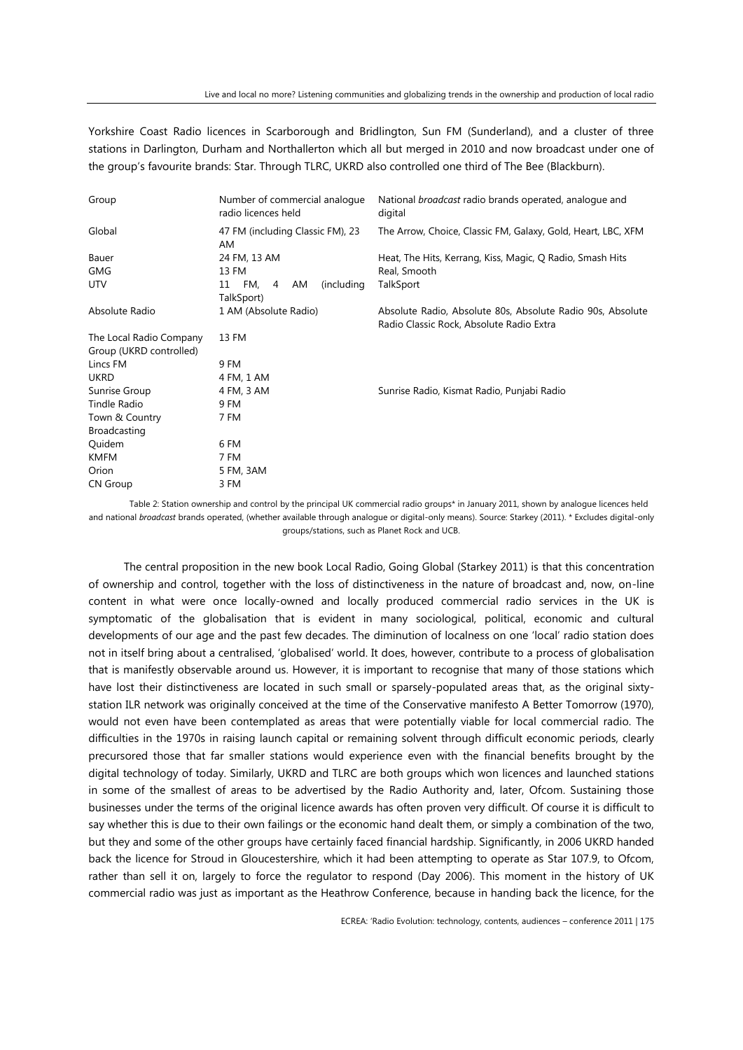Yorkshire Coast Radio licences in Scarborough and Bridlington, Sun FM (Sunderland), and a cluster of three stations in Darlington, Durham and Northallerton which all but merged in 2010 and now broadcast under one of the group's favourite brands: Star. Through TLRC, UKRD also controlled one third of The Bee (Blackburn).

| Group                   | Number of commercial analogue<br>radio licences held | National <i>broadcast</i> radio brands operated, analogue and<br>digital |
|-------------------------|------------------------------------------------------|--------------------------------------------------------------------------|
| Global                  | 47 FM (including Classic FM), 23<br>AM               | The Arrow, Choice, Classic FM, Galaxy, Gold, Heart, LBC, XFM             |
| Bauer                   | 24 FM, 13 AM                                         | Heat, The Hits, Kerrang, Kiss, Magic, Q Radio, Smash Hits                |
| <b>GMG</b>              | 13 FM                                                | Real, Smooth                                                             |
| <b>UTV</b>              | FM.<br>(including)<br>11<br>AM<br>4                  | TalkSport                                                                |
|                         | TalkSport)                                           |                                                                          |
| Absolute Radio          | 1 AM (Absolute Radio)                                | Absolute Radio, Absolute 80s, Absolute Radio 90s, Absolute               |
|                         |                                                      | Radio Classic Rock, Absolute Radio Extra                                 |
| The Local Radio Company | 13 FM                                                |                                                                          |
| Group (UKRD controlled) |                                                      |                                                                          |
| Lincs FM                | 9 FM                                                 |                                                                          |
| <b>UKRD</b>             | 4 FM, 1 AM                                           |                                                                          |
| Sunrise Group           | 4 FM, 3 AM                                           | Sunrise Radio, Kismat Radio, Punjabi Radio                               |
| Tindle Radio            | 9 FM                                                 |                                                                          |
| Town & Country          | 7 FM                                                 |                                                                          |
| <b>Broadcasting</b>     |                                                      |                                                                          |
| Quidem                  | 6 FM                                                 |                                                                          |
| <b>KMFM</b>             | 7 FM                                                 |                                                                          |
| Orion                   | 5 FM, 3AM                                            |                                                                          |
| <b>CN Group</b>         | 3 FM                                                 |                                                                          |

Table 2: Station ownership and control by the principal UK commercial radio groups\* in January 2011, shown by analogue licences held and national *broadcast* brands operated, (whether available through analogue or digital-only means). Source: Starkey (2011). \* Excludes digital-only groups/stations, such as Planet Rock and UCB.

The central proposition in the new book Local Radio, Going Global (Starkey 2011) is that this concentration of ownership and control, together with the loss of distinctiveness in the nature of broadcast and, now, on-line content in what were once locally-owned and locally produced commercial radio services in the UK is symptomatic of the globalisation that is evident in many sociological, political, economic and cultural developments of our age and the past few decades. The diminution of localness on one 'local' radio station does not in itself bring about a centralised, 'globalised' world. It does, however, contribute to a process of globalisation that is manifestly observable around us. However, it is important to recognise that many of those stations which have lost their distinctiveness are located in such small or sparsely-populated areas that, as the original sixtystation ILR network was originally conceived at the time of the Conservative manifesto A Better Tomorrow (1970), would not even have been contemplated as areas that were potentially viable for local commercial radio. The difficulties in the 1970s in raising launch capital or remaining solvent through difficult economic periods, clearly precursored those that far smaller stations would experience even with the financial benefits brought by the digital technology of today. Similarly, UKRD and TLRC are both groups which won licences and launched stations in some of the smallest of areas to be advertised by the Radio Authority and, later, Ofcom. Sustaining those businesses under the terms of the original licence awards has often proven very difficult. Of course it is difficult to say whether this is due to their own failings or the economic hand dealt them, or simply a combination of the two, but they and some of the other groups have certainly faced financial hardship. Significantly, in 2006 UKRD handed back the licence for Stroud in Gloucestershire, which it had been attempting to operate as Star 107.9, to Ofcom, rather than sell it on, largely to force the regulator to respond (Day 2006). This moment in the history of UK commercial radio was just as important as the Heathrow Conference, because in handing back the licence, for the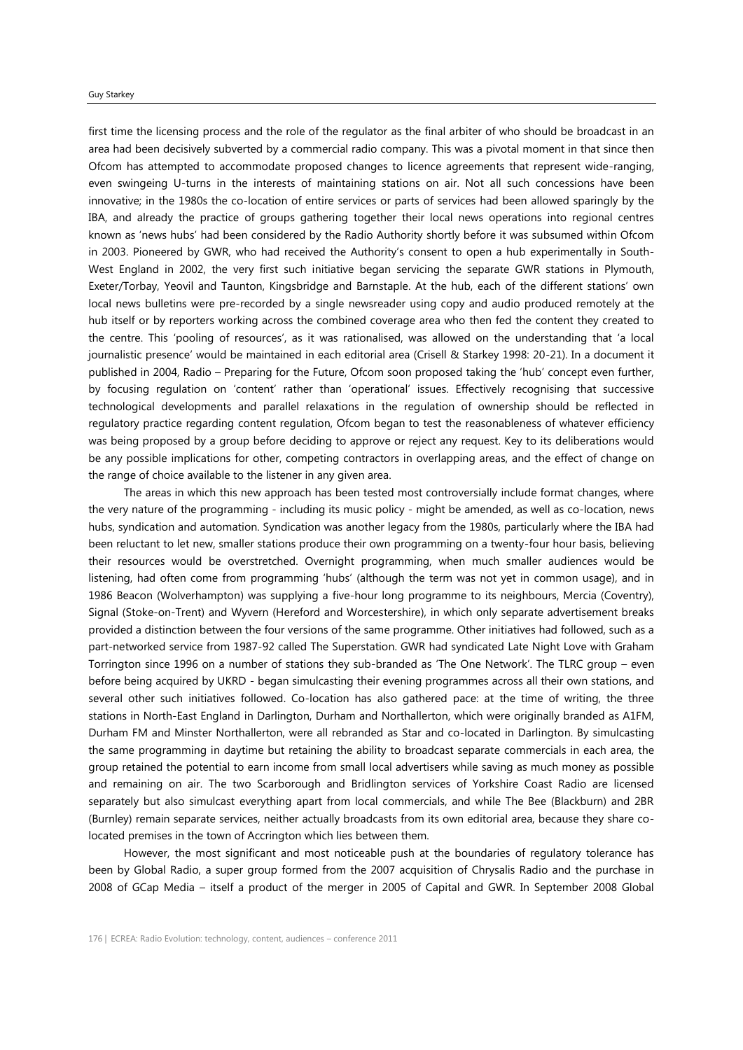#### Guy Starkey

first time the licensing process and the role of the regulator as the final arbiter of who should be broadcast in an area had been decisively subverted by a commercial radio company. This was a pivotal moment in that since then Ofcom has attempted to accommodate proposed changes to licence agreements that represent wide-ranging, even swingeing U-turns in the interests of maintaining stations on air. Not all such concessions have been innovative; in the 1980s the co-location of entire services or parts of services had been allowed sparingly by the IBA, and already the practice of groups gathering together their local news operations into regional centres known as 'news hubs' had been considered by the Radio Authority shortly before it was subsumed within Ofcom in 2003. Pioneered by GWR, who had received the Authority's consent to open a hub experimentally in South-West England in 2002, the very first such initiative began servicing the separate GWR stations in Plymouth, Exeter/Torbay, Yeovil and Taunton, Kingsbridge and Barnstaple. At the hub, each of the different stations' own local news bulletins were pre-recorded by a single newsreader using copy and audio produced remotely at the hub itself or by reporters working across the combined coverage area who then fed the content they created to the centre. This 'pooling of resources', as it was rationalised, was allowed on the understanding that 'a local journalistic presence' would be maintained in each editorial area (Crisell & Starkey 1998: 20-21). In a document it published in 2004, Radio – Preparing for the Future, Ofcom soon proposed taking the 'hub' concept even further, by focusing regulation on 'content' rather than 'operational' issues. Effectively recognising that successive technological developments and parallel relaxations in the regulation of ownership should be reflected in regulatory practice regarding content regulation, Ofcom began to test the reasonableness of whatever efficiency was being proposed by a group before deciding to approve or reject any request. Key to its deliberations would be any possible implications for other, competing contractors in overlapping areas, and the effect of change on the range of choice available to the listener in any given area.

The areas in which this new approach has been tested most controversially include format changes, where the very nature of the programming - including its music policy - might be amended, as well as co-location, news hubs, syndication and automation. Syndication was another legacy from the 1980s, particularly where the IBA had been reluctant to let new, smaller stations produce their own programming on a twenty-four hour basis, believing their resources would be overstretched. Overnight programming, when much smaller audiences would be listening, had often come from programming 'hubs' (although the term was not yet in common usage), and in 1986 Beacon (Wolverhampton) was supplying a five-hour long programme to its neighbours, Mercia (Coventry), Signal (Stoke-on-Trent) and Wyvern (Hereford and Worcestershire), in which only separate advertisement breaks provided a distinction between the four versions of the same programme. Other initiatives had followed, such as a part-networked service from 1987-92 called The Superstation. GWR had syndicated Late Night Love with Graham Torrington since 1996 on a number of stations they sub-branded as 'The One Network'. The TLRC group – even before being acquired by UKRD - began simulcasting their evening programmes across all their own stations, and several other such initiatives followed. Co-location has also gathered pace: at the time of writing, the three stations in North-East England in Darlington, Durham and Northallerton, which were originally branded as A1FM, Durham FM and Minster Northallerton, were all rebranded as Star and co-located in Darlington. By simulcasting the same programming in daytime but retaining the ability to broadcast separate commercials in each area, the group retained the potential to earn income from small local advertisers while saving as much money as possible and remaining on air. The two Scarborough and Bridlington services of Yorkshire Coast Radio are licensed separately but also simulcast everything apart from local commercials, and while The Bee (Blackburn) and 2BR (Burnley) remain separate services, neither actually broadcasts from its own editorial area, because they share colocated premises in the town of Accrington which lies between them.

However, the most significant and most noticeable push at the boundaries of regulatory tolerance has been by Global Radio, a super group formed from the 2007 acquisition of Chrysalis Radio and the purchase in 2008 of GCap Media – itself a product of the merger in 2005 of Capital and GWR. In September 2008 Global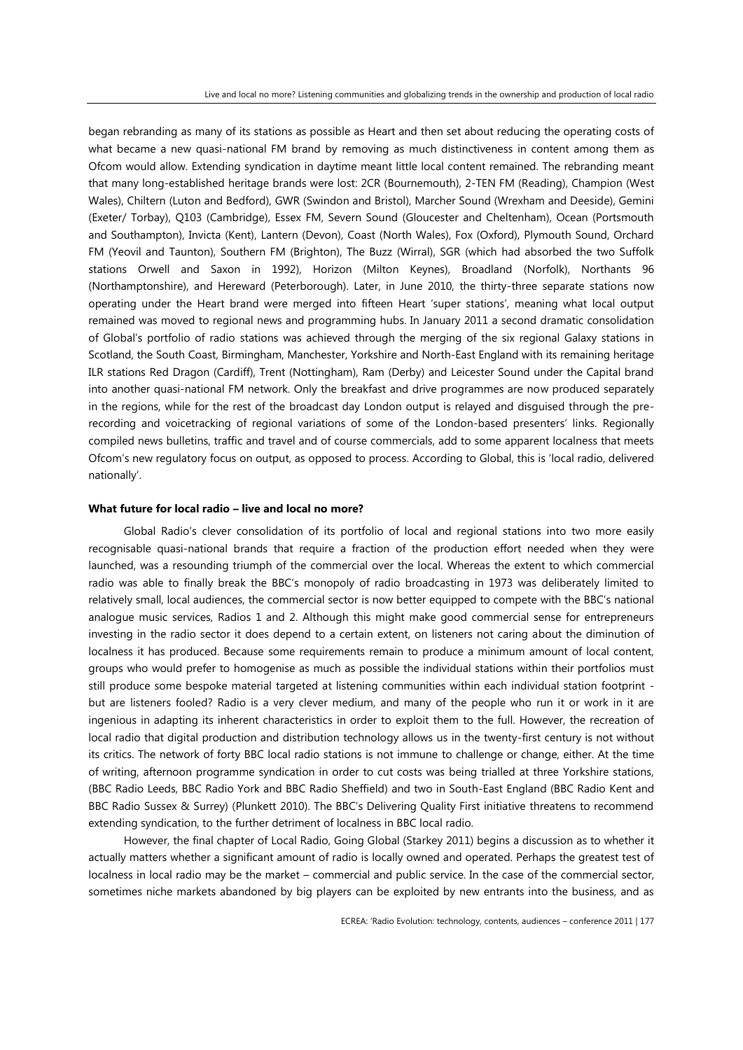began rebranding as many of its stations as possible as Heart and then set about reducing the operating costs of what became a new quasi-national FM brand by removing as much distinctiveness in content among them as Ofcom would allow. Extending syndication in daytime meant little local content remained. The rebranding meant that many long-established heritage brands were lost: 2CR (Bournemouth), 2-TEN FM (Reading), Champion (West Wales), Chiltern (Luton and Bedford), GWR (Swindon and Bristol), Marcher Sound (Wrexham and Deeside), Gemini (Exeter/ Torbay), Q103 (Cambridge), Essex FM, Severn Sound (Gloucester and Cheltenham), Ocean (Portsmouth and Southampton), Invicta (Kent), Lantern (Devon), Coast (North Wales), Fox (Oxford), Plymouth Sound, Orchard FM (Yeovil and Taunton), Southern FM (Brighton), The Buzz (Wirral), SGR (which had absorbed the two Suffolk stations Orwell and Saxon in 1992), Horizon (Milton Keynes), Broadland (Norfolk), Northants 96 (Northamptonshire), and Hereward (Peterborough). Later, in June 2010, the thirty-three separate stations now operating under the Heart brand were merged into fifteen Heart 'super stations', meaning what local output remained was moved to regional news and programming hubs. In January 2011 a second dramatic consolidation of Global's portfolio of radio stations was achieved through the merging of the six regional Galaxy stations in Scotland, the South Coast, Birmingham, Manchester, Yorkshire and North-East England with its remaining heritage ILR stations Red Dragon (Cardiff), Trent (Nottingham), Ram (Derby) and Leicester Sound under the Capital brand into another quasi-national FM network. Only the breakfast and drive programmes are now produced separately in the regions, while for the rest of the broadcast day London output is relayed and disguised through the prerecording and voicetracking of regional variations of some of the London-based presenters' links. Regionally compiled news bulletins, traffic and travel and of course commercials, add to some apparent localness that meets Ofcom's new regulatory focus on output, as opposed to process. According to Global, this is 'local radio, delivered nationally'.

## **What future for local radio – live and local no more?**

Global Radio's clever consolidation of its portfolio of local and regional stations into two more easily recognisable quasi-national brands that require a fraction of the production effort needed when they were launched, was a resounding triumph of the commercial over the local. Whereas the extent to which commercial radio was able to finally break the BBC's monopoly of radio broadcasting in 1973 was deliberately limited to relatively small, local audiences, the commercial sector is now better equipped to compete with the BBC's national analogue music services, Radios 1 and 2. Although this might make good commercial sense for entrepreneurs investing in the radio sector it does depend to a certain extent, on listeners not caring about the diminution of localness it has produced. Because some requirements remain to produce a minimum amount of local content, groups who would prefer to homogenise as much as possible the individual stations within their portfolios must still produce some bespoke material targeted at listening communities within each individual station footprint but are listeners fooled? Radio is a very clever medium, and many of the people who run it or work in it are ingenious in adapting its inherent characteristics in order to exploit them to the full. However, the recreation of local radio that digital production and distribution technology allows us in the twenty-first century is not without its critics. The network of forty BBC local radio stations is not immune to challenge or change, either. At the time of writing, afternoon programme syndication in order to cut costs was being trialled at three Yorkshire stations, (BBC Radio Leeds, BBC Radio York and BBC Radio Sheffield) and two in South-East England (BBC Radio Kent and BBC Radio Sussex & Surrey) (Plunkett 2010). The BBC's Delivering Quality First initiative threatens to recommend extending syndication, to the further detriment of localness in BBC local radio.

However, the final chapter of Local Radio, Going Global (Starkey 2011) begins a discussion as to whether it actually matters whether a significant amount of radio is locally owned and operated. Perhaps the greatest test of localness in local radio may be the market – commercial and public service. In the case of the commercial sector, sometimes niche markets abandoned by big players can be exploited by new entrants into the business, and as